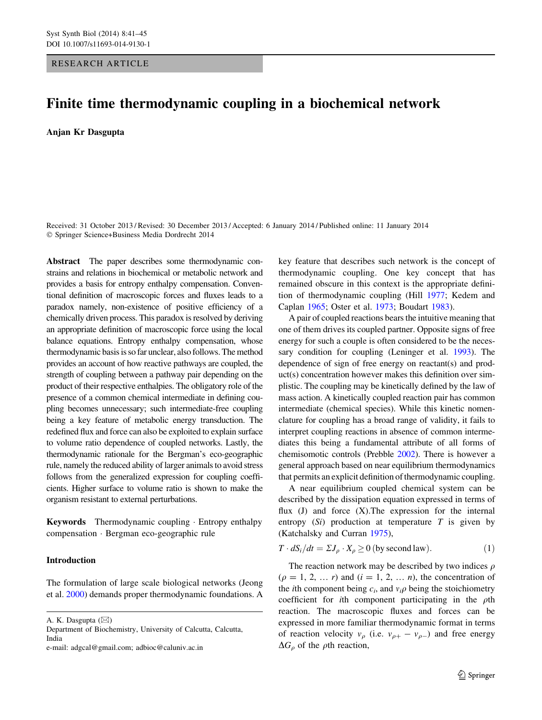## <span id="page-0-0"></span>RESEARCH ARTICLE

# Finite time thermodynamic coupling in a biochemical network

Anjan Kr Dasgupta

Received: 31 October 2013 / Revised: 30 December 2013 / Accepted: 6 January 2014 / Published online: 11 January 2014 - Springer Science+Business Media Dordrecht 2014

Abstract The paper describes some thermodynamic constrains and relations in biochemical or metabolic network and provides a basis for entropy enthalpy compensation. Conventional definition of macroscopic forces and fluxes leads to a paradox namely, non-existence of positive efficiency of a chemically driven process. This paradox is resolved by deriving an appropriate definition of macroscopic force using the local balance equations. Entropy enthalpy compensation, whose thermodynamic basis is so far unclear, also follows. The method provides an account of how reactive pathways are coupled, the strength of coupling between a pathway pair depending on the product of their respective enthalpies. The obligatory role of the presence of a common chemical intermediate in defining coupling becomes unnecessary; such intermediate-free coupling being a key feature of metabolic energy transduction. The redefined flux and force can also be exploited to explain surface to volume ratio dependence of coupled networks. Lastly, the thermodynamic rationale for the Bergman's eco-geographic rule, namely the reduced ability of larger animals to avoid stress follows from the generalized expression for coupling coefficients. Higher surface to volume ratio is shown to make the organism resistant to external perturbations.

Keywords Thermodynamic coupling - Entropy enthalpy compensation - Bergman eco-geographic rule

## Introduction

The formulation of large scale biological networks (Jeong et al. [2000\)](#page-4-0) demands proper thermodynamic foundations. A

A. K. Dasgupta ( $\boxtimes$ )

Department of Biochemistry, University of Calcutta, Calcutta, India

e-mail: adgcal@gmail.com; adbioc@caluniv.ac.in

key feature that describes such network is the concept of thermodynamic coupling. One key concept that has remained obscure in this context is the appropriate definition of thermodynamic coupling (Hill [1977](#page-4-0); Kedem and Caplan [1965;](#page-4-0) Oster et al. [1973;](#page-4-0) Boudart [1983](#page-4-0)).

A pair of coupled reactions bears the intuitive meaning that one of them drives its coupled partner. Opposite signs of free energy for such a couple is often considered to be the necessary condition for coupling (Leninger et al. [1993\)](#page-4-0). The dependence of sign of free energy on reactant(s) and product(s) concentration however makes this definition over simplistic. The coupling may be kinetically defined by the law of mass action. A kinetically coupled reaction pair has common intermediate (chemical species). While this kinetic nomenclature for coupling has a broad range of validity, it fails to interpret coupling reactions in absence of common intermediates this being a fundamental attribute of all forms of chemisomotic controls (Prebble [2002](#page-4-0)). There is however a general approach based on near equilibrium thermodynamics that permits an explicit definition of thermodynamic coupling.

A near equilibrium coupled chemical system can be described by the dissipation equation expressed in terms of flux  $(J)$  and force  $(X)$ . The expression for the internal entropy  $(S_i)$  production at temperature T is given by (Katchalsky and Curran [1975\)](#page-4-0),

$$
T \cdot dS_i/dt = \Sigma J_\rho \cdot X_\rho \ge 0 \text{ (by second law)}.
$$
 (1)

The reaction network may be described by two indices  $\rho$  $(p = 1, 2, ..., r)$  and  $(i = 1, 2, ..., n)$ , the concentration of the *i*th component being  $c_i$ , and  $v_i \rho$  being the stoichiometry coefficient for *i*th component participating in the  $\rho$ th reaction. The macroscopic fluxes and forces can be expressed in more familiar thermodynamic format in terms of reaction velocity  $v_{\rho}$  (i.e.  $v_{\rho+} - v_{\rho-}$ ) and free energy  $\Delta G_{\rho}$  of the  $\rho$ th reaction,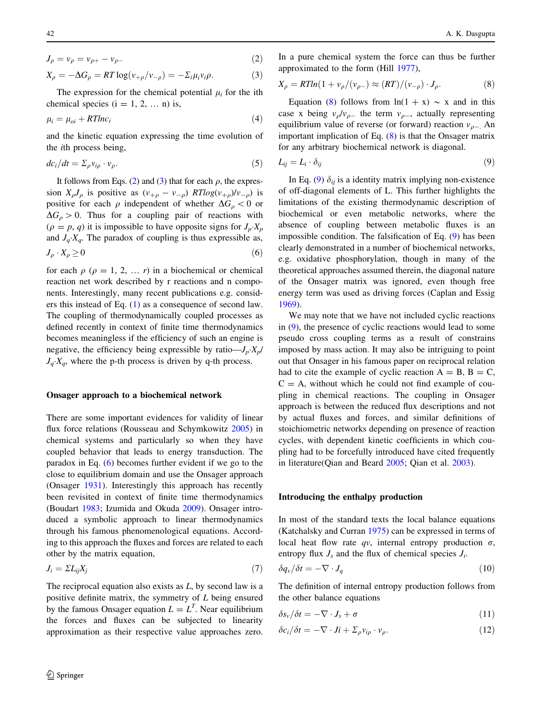<span id="page-1-0"></span>
$$
J_{\rho} = v_{\rho} = v_{\rho +} - v_{\rho -}
$$
 (2)

$$
X_{\rho} = -\Delta G_{\rho} = RT \log(v_{+\rho}/v_{-\rho}) = -\Sigma_{i}\mu_{i}v_{i}\rho.
$$
 (3)

The expression for the chemical potential  $\mu_i$  for the ith chemical species  $(i = 1, 2, ... n)$  is,

$$
\mu_i = \mu_{oi} + RTlnc_i \tag{4}
$$

and the kinetic equation expressing the time evolution of the ith process being,

$$
dc_i/dt = \Sigma_{\rho} v_{i\rho} \cdot v_{\rho}.\tag{5}
$$

It follows from Eqs. [\(2](#page-0-0)) and (3) that for each  $\rho$ , the expression  $X_{\rho}J_{\rho}$  is positive as  $(v_{+\rho} - v_{-\rho})$  RTlog( $v_{+\rho}$ )/v<sub>- $\rho$ </sub>) is positive for each  $\rho$  independent of whether  $\Delta G_\rho < 0$  or  $\Delta G_{\rho} > 0$ . Thus for a coupling pair of reactions with  $(\rho = p, q)$  it is impossible to have opposite signs for  $J_p \cdot X_p$ and  $J_q$   $X_q$ . The paradox of coupling is thus expressible as,  $J_{\rho} \cdot X_{\rho} \ge 0$  (6)

for each  $\rho$  ( $\rho = 1, 2, \dots r$ ) in a biochemical or chemical reaction net work described by r reactions and n components. Interestingly, many recent publications e.g. considers this instead of Eq. ([1\)](#page-0-0) as a consequence of second law. The coupling of thermodynamically coupled processes as defined recently in context of finite time thermodynamics becomes meaningless if the efficiency of such an engine is negative, the efficiency being expressible by ratio— $J_p \cdot X_p$ /  $J_q$   $X_q$ , where the p-th process is driven by q-th process.

#### Onsager approach to a biochemical network

There are some important evidences for validity of linear flux force relations (Rousseau and Schymkowitz [2005](#page-4-0)) in chemical systems and particularly so when they have coupled behavior that leads to energy transduction. The paradox in Eq. (6) becomes further evident if we go to the close to equilibrium domain and use the Onsager approach (Onsager [1931](#page-4-0)). Interestingly this approach has recently been revisited in context of finite time thermodynamics (Boudart [1983](#page-4-0); Izumida and Okuda [2009\)](#page-4-0). Onsager introduced a symbolic approach to linear thermodynamics through his famous phenomenological equations. According to this approach the fluxes and forces are related to each other by the matrix equation,

$$
J_i = \Sigma L_{ij} X_j \tag{7}
$$

The reciprocal equation also exists as  $L$ , by second law is a positive definite matrix, the symmetry of L being ensured by the famous Onsager equation  $L = L<sup>T</sup>$ . Near equilibrium the forces and fluxes can be subjected to linearity approximation as their respective value approaches zero.

In a pure chemical system the force can thus be further approximated to the form (Hill [1977](#page-4-0)),

$$
X_{\rho} = RTln(1 + \nu_{\rho}/(\nu_{\rho-}) \approx (RT)/(\nu_{-\rho}) \cdot J_{\rho}.
$$
 (8)

Equation (8) follows from  $ln(1 + x) \sim x$  and in this case x being  $v_o/v_{o-}$  the term  $v_{o-}$ , actually representing equilibrium value of reverse (or forward) reaction  $v_{q-}$ . An important implication of Eq. (8) is that the Onsager matrix for any arbitrary biochemical network is diagonal.

$$
L_{ij} = L_i \cdot \delta_{ij} \tag{9}
$$

In Eq. (9)  $\delta_{ij}$  is a identity matrix implying non-existence of off-diagonal elements of L. This further highlights the limitations of the existing thermodynamic description of biochemical or even metabolic networks, where the absence of coupling between metabolic fluxes is an impossible condition. The falsification of Eq. (9) has been clearly demonstrated in a number of biochemical networks, e.g. oxidative phosphorylation, though in many of the theoretical approaches assumed therein, the diagonal nature of the Onsager matrix was ignored, even though free energy term was used as driving forces (Caplan and Essig [1969](#page-4-0)).

We may note that we have not included cyclic reactions in (9), the presence of cyclic reactions would lead to some pseudo cross coupling terms as a result of constrains imposed by mass action. It may also be intriguing to point out that Onsager in his famous paper on reciprocal relation had to cite the example of cyclic reaction  $A = B$ ,  $B = C$ ,  $C = A$ , without which he could not find example of coupling in chemical reactions. The coupling in Onsager approach is between the reduced flux descriptions and not by actual fluxes and forces, and similar definitions of stoichiometric networks depending on presence of reaction cycles, with dependent kinetic coefficients in which coupling had to be forcefully introduced have cited frequently in literature(Qian and Beard [2005;](#page-4-0) Qian et al. [2003](#page-4-0)).

### Introducing the enthalpy production

In most of the standard texts the local balance equations (Katchalsky and Curran [1975](#page-4-0)) can be expressed in terms of local heat flow rate qv, internal entropy production  $\sigma$ , entropy flux  $J_s$  and the flux of chemical species  $J_i$ .

$$
\delta q_{\nu}/\delta t = -\nabla \cdot J_q \tag{10}
$$

The definition of internal entropy production follows from the other balance equations

$$
\delta s_{\nu}/\delta t = -\nabla \cdot J_s + \sigma \tag{11}
$$

$$
\delta c_i / \delta t = -\nabla \cdot J i + \Sigma_\rho v_{i\rho} \cdot v_\rho. \tag{12}
$$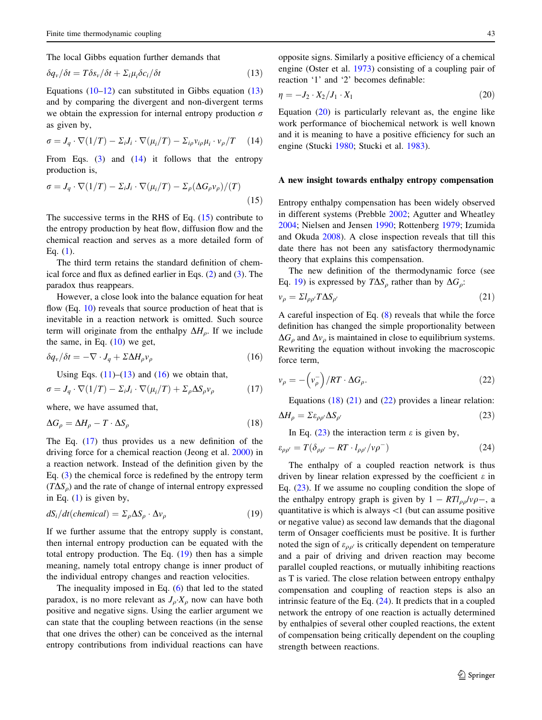<span id="page-2-0"></span>The local Gibbs equation further demands that

$$
\delta q_{\nu}/\delta t = T \delta s_{\nu}/\delta t + \Sigma_{i} \mu_{i} \delta c_{i}/\delta t \tag{13}
$$

Equations  $(10-12)$  can substituted in Gibbs equation  $(13)$ and by comparing the divergent and non-divergent terms we obtain the expression for internal entropy production  $\sigma$ as given by,

$$
\sigma = J_q \cdot \nabla (1/T) - \Sigma_i J_i \cdot \nabla (\mu_i/T) - \Sigma_{i\rho} v_{i\rho} \mu_i \cdot v_\rho/T \quad (14)
$$

From Eqs.  $(3)$  $(3)$  and  $(14)$  it follows that the entropy production is,

$$
\sigma = J_q \cdot \nabla (1/T) - \Sigma_i J_i \cdot \nabla (\mu_i/T) - \Sigma_\rho (\Delta G_\rho \nu_\rho)/(T)
$$
\n(15)

The successive terms in the RHS of Eq.  $(15)$  contribute to the entropy production by heat flow, diffusion flow and the chemical reaction and serves as a more detailed form of Eq.  $(1)$  $(1)$ .

The third term retains the standard definition of chemical force and flux as defined earlier in Eqs. [\(2](#page-0-0)) and [\(3](#page-1-0)). The paradox thus reappears.

However, a close look into the balance equation for heat flow (Eq. [10\)](#page-1-0) reveals that source production of heat that is inevitable in a reaction network is omitted. Such source term will originate from the enthalpy  $\Delta H_{\rho}$ . If we include the same, in Eq.  $(10)$  $(10)$  we get,

$$
\delta q_{\nu}/\delta t = -\nabla \cdot J_q + \Sigma \Delta H_{\rho} v_{\rho} \tag{16}
$$

Using Eqs.  $(11)$  $(11)$ – $(13)$  and  $(16)$  we obtain that,

$$
\sigma = J_q \cdot \nabla (1/T) - \Sigma_i J_i \cdot \nabla (\mu_i/T) + \Sigma_\rho \Delta S_\rho v_\rho \tag{17}
$$

where, we have assumed that,

$$
\Delta G_{\rho} = \Delta H_{\rho} - T \cdot \Delta S_{\rho} \tag{18}
$$

The Eq. (17) thus provides us a new definition of the driving force for a chemical reaction (Jeong et al. [2000](#page-4-0)) in a reaction network. Instead of the definition given by the Eq. ([3\)](#page-1-0) the chemical force is redefined by the entropy term  $(T\Delta S_{\rho})$  and the rate of change of internal entropy expressed in Eq.  $(1)$  $(1)$  is given by,

$$
dS_i/dt(chemical) = \Sigma_{\rho} \Delta S_{\rho} \cdot \Delta v_{\rho}
$$
 (19)

If we further assume that the entropy supply is constant, then internal entropy production can be equated with the total entropy production. The Eq.  $(19)$  then has a simple meaning, namely total entropy change is inner product of the individual entropy changes and reaction velocities.

The inequality imposed in Eq. [\(6](#page-1-0)) that led to the stated paradox, is no more relevant as  $J_{\rho} \cdot X_{\rho}$  now can have both positive and negative signs. Using the earlier argument we can state that the coupling between reactions (in the sense that one drives the other) can be conceived as the internal entropy contributions from individual reactions can have

opposite signs. Similarly a positive efficiency of a chemical engine (Oster et al. [1973](#page-4-0)) consisting of a coupling pair of reaction '1' and '2' becomes definable:

$$
\eta = -J_2 \cdot X_2 / J_1 \cdot X_1 \tag{20}
$$

Equation (20) is particularly relevant as, the engine like work performance of biochemical network is well known and it is meaning to have a positive efficiency for such an engine (Stucki [1980](#page-4-0); Stucki et al. [1983](#page-4-0)).

#### A new insight towards enthalpy entropy compensation

Entropy enthalpy compensation has been widely observed in different systems (Prebble [2002;](#page-4-0) Agutter and Wheatley [2004](#page-4-0); Nielsen and Jensen [1990](#page-4-0); Rottenberg [1979;](#page-4-0) Izumida and Okuda [2008\)](#page-4-0). A close inspection reveals that till this date there has not been any satisfactory thermodynamic theory that explains this compensation.

The new definition of the thermodynamic force (see Eq. 19) is expressed by  $T\Delta S_\rho$  rather than by  $\Delta G_\rho$ :

$$
v_{\rho} = \Sigma l_{\rho \rho'} T \Delta S_{\rho'} \tag{21}
$$

A careful inspection of Eq. [\(8](#page-1-0)) reveals that while the force definition has changed the simple proportionality between  $\Delta G_{\rho}$  and  $\Delta v_{\rho}$  is maintained in close to equilibrium systems. Rewriting the equation without invoking the macroscopic force term,

$$
v_{\rho} = -\left(v_{\rho}^{-}\right)/RT \cdot \Delta G_{\rho}.
$$
 (22)

Equations  $(18)$   $(21)$  and  $(22)$  provides a linear relation:

$$
\Delta H_{\rho} = \Sigma \varepsilon_{\rho \rho'} \Delta S_{\rho'} \tag{23}
$$

In Eq.  $(23)$  the interaction term  $\varepsilon$  is given by,

$$
\varepsilon_{\rho\rho'} = T(\delta_{\rho\rho'} - RT \cdot l_{\rho\rho'} / \nu \rho^{-})
$$
\n(24)

The enthalpy of a coupled reaction network is thus driven by linear relation expressed by the coefficient  $\varepsilon$  in Eq. (23). If we assume no coupling condition the slope of the enthalpy entropy graph is given by  $1 - RTl_{\rho\rho}/v\rho$ , a quantitative is which is always  $\langle 1 \rangle$  (but can assume positive or negative value) as second law demands that the diagonal term of Onsager coefficients must be positive. It is further noted the sign of  $\varepsilon_{\rho\rho'}$  is critically dependent on temperature and a pair of driving and driven reaction may become parallel coupled reactions, or mutually inhibiting reactions as T is varied. The close relation between entropy enthalpy compensation and coupling of reaction steps is also an intrinsic feature of the Eq. (24). It predicts that in a coupled network the entropy of one reaction is actually determined by enthalpies of several other coupled reactions, the extent of compensation being critically dependent on the coupling strength between reactions.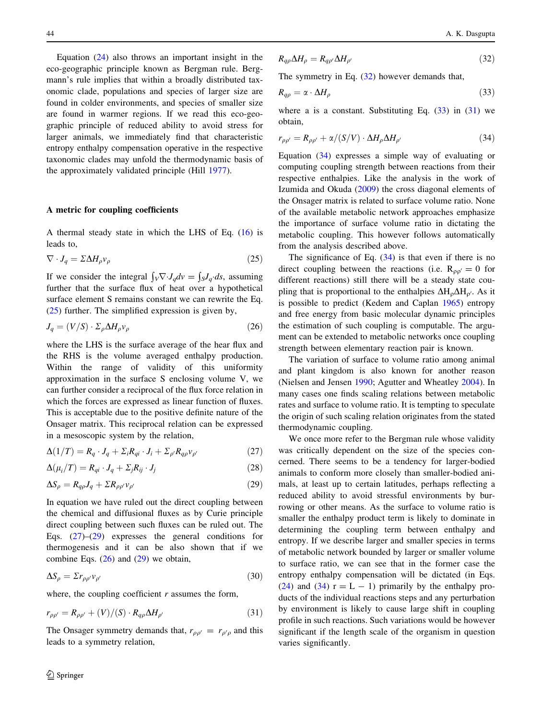Equation  $(24)$  $(24)$  also throws an important insight in the eco-geographic principle known as Bergman rule. Bergmann's rule implies that within a broadly distributed taxonomic clade, populations and species of larger size are found in colder environments, and species of smaller size are found in warmer regions. If we read this eco-geographic principle of reduced ability to avoid stress for larger animals, we immediately find that characteristic entropy enthalpy compensation operative in the respective taxonomic clades may unfold the thermodynamic basis of the approximately validated principle (Hill [1977](#page-4-0)).

#### A metric for coupling coefficients

A thermal steady state in which the LHS of Eq. ([16\)](#page-2-0) is leads to,

$$
\nabla \cdot J_q = \Sigma \Delta H_\rho v_\rho \tag{25}
$$

If we consider the integral  $\int_{V} \nabla \cdot J_q dv = \int_{S} J_q ds$ , assuming further that the surface flux of heat over a hypothetical surface element S remains constant we can rewrite the Eq. (25) further. The simplified expression is given by,

$$
J_q = (V/S) \cdot \Sigma_{\rho} \Delta H_{\rho} v_{\rho} \tag{26}
$$

where the LHS is the surface average of the hear flux and the RHS is the volume averaged enthalpy production. Within the range of validity of this uniformity approximation in the surface S enclosing volume V, we can further consider a reciprocal of the flux force relation in which the forces are expressed as linear function of fluxes. This is acceptable due to the positive definite nature of the Onsager matrix. This reciprocal relation can be expressed in a mesoscopic system by the relation,

$$
\Delta(1/T) = R_q \cdot J_q + \Sigma_i R_{qi} \cdot J_i + \Sigma_{\rho'} R_{q\rho} v_{\rho'} \tag{27}
$$

$$
\Delta(\mu_i/T) = R_{qi} \cdot J_q + \Sigma_j R_{ij} \cdot J_j \tag{28}
$$

$$
\Delta S_{\rho} = R_{q\rho} J_q + \Sigma R_{\rho\rho'} v_{\rho'} \tag{29}
$$

In equation we have ruled out the direct coupling between the chemical and diffusional fluxes as by Curie principle direct coupling between such fluxes can be ruled out. The Eqs. (27)–(29) expresses the general conditions for thermogenesis and it can be also shown that if we combine Eqs.  $(26)$  and  $(29)$  we obtain,

$$
\Delta S_{\rho} = \Sigma r_{\rho \rho'} v_{\rho'} \tag{30}
$$

where, the coupling coefficient  $r$  assumes the form,

$$
r_{\rho\rho'} = R_{\rho\rho'} + (V)/(S) \cdot R_{q\rho} \Delta H_{\rho'} \tag{31}
$$

The Onsager symmetry demands that,  $r_{\rho\rho'} = r_{\rho'\rho}$  and this leads to a symmetry relation,

$$
R_{q\rho}\Delta H_{\rho} = R_{q\rho'}\Delta H_{\rho'}\tag{32}
$$

The symmetry in Eq.  $(32)$  however demands that,

$$
R_{q\rho} = \alpha \cdot \Delta H_{\rho} \tag{33}
$$

where a is a constant. Substituting Eq.  $(33)$  in  $(31)$  we obtain,

$$
r_{\rho\rho'} = R_{\rho\rho'} + \alpha/(S/V) \cdot \Delta H_{\rho} \Delta H_{\rho'} \tag{34}
$$

Equation (34) expresses a simple way of evaluating or computing coupling strength between reactions from their respective enthalpies. Like the analysis in the work of Izumida and Okuda [\(2009](#page-4-0)) the cross diagonal elements of the Onsager matrix is related to surface volume ratio. None of the available metabolic network approaches emphasize the importance of surface volume ratio in dictating the metabolic coupling. This however follows automatically from the analysis described above.

The significance of Eq.  $(34)$  is that even if there is no direct coupling between the reactions (i.e.  $R_{\rho\sigma'} = 0$  for different reactions) still there will be a steady state coupling that is proportional to the enthalpies  $\Delta H_o \Delta H_{o'}$ . As it is possible to predict (Kedem and Caplan [1965](#page-4-0)) entropy and free energy from basic molecular dynamic principles the estimation of such coupling is computable. The argument can be extended to metabolic networks once coupling strength between elementary reaction pair is known.

The variation of surface to volume ratio among animal and plant kingdom is also known for another reason (Nielsen and Jensen [1990;](#page-4-0) Agutter and Wheatley [2004](#page-4-0)). In many cases one finds scaling relations between metabolic rates and surface to volume ratio. It is tempting to speculate the origin of such scaling relation originates from the stated thermodynamic coupling.

We once more refer to the Bergman rule whose validity was critically dependent on the size of the species concerned. There seems to be a tendency for larger-bodied animals to conform more closely than smaller-bodied animals, at least up to certain latitudes, perhaps reflecting a reduced ability to avoid stressful environments by burrowing or other means. As the surface to volume ratio is smaller the enthalpy product term is likely to dominate in determining the coupling term between enthalpy and entropy. If we describe larger and smaller species in terms of metabolic network bounded by larger or smaller volume to surface ratio, we can see that in the former case the entropy enthalpy compensation will be dictated (in Eqs. [\(24](#page-2-0)) and (34)  $r = L - 1$ ) primarily by the enthalpy products of the individual reactions steps and any perturbation by environment is likely to cause large shift in coupling profile in such reactions. Such variations would be however significant if the length scale of the organism in question varies significantly.